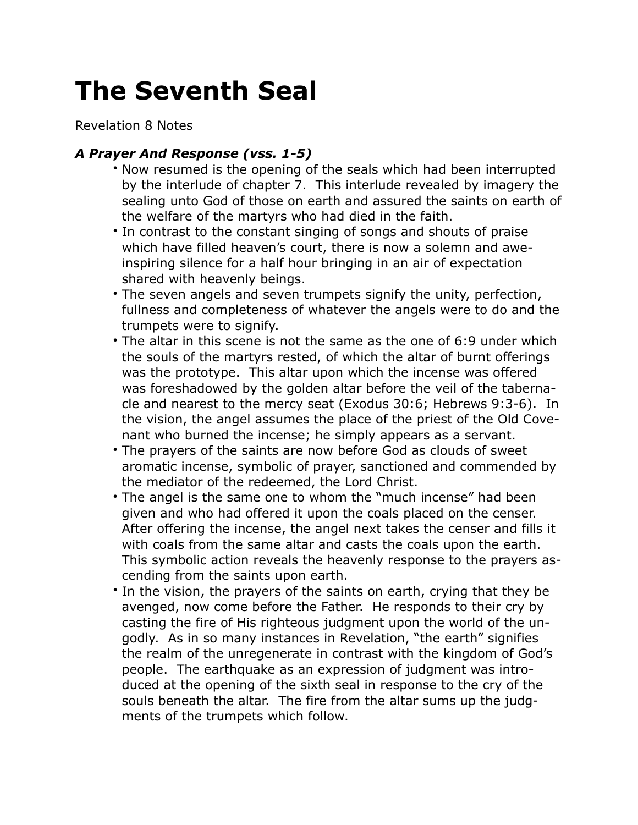## **The Seventh Seal**

Revelation 8 Notes

## *A Prayer And Response (vss. 1-5)*

- Now resumed is the opening of the seals which had been interrupted by the interlude of chapter 7. This interlude revealed by imagery the sealing unto God of those on earth and assured the saints on earth of the welfare of the martyrs who had died in the faith.
- In contrast to the constant singing of songs and shouts of praise which have filled heaven's court, there is now a solemn and aweinspiring silence for a half hour bringing in an air of expectation shared with heavenly beings.
- The seven angels and seven trumpets signify the unity, perfection, fullness and completeness of whatever the angels were to do and the trumpets were to signify.
- The altar in this scene is not the same as the one of 6:9 under which the souls of the martyrs rested, of which the altar of burnt offerings was the prototype. This altar upon which the incense was offered was foreshadowed by the golden altar before the veil of the tabernacle and nearest to the mercy seat (Exodus 30:6; Hebrews 9:3-6). In the vision, the angel assumes the place of the priest of the Old Covenant who burned the incense; he simply appears as a servant.
- The prayers of the saints are now before God as clouds of sweet aromatic incense, symbolic of prayer, sanctioned and commended by the mediator of the redeemed, the Lord Christ.
- The angel is the same one to whom the "much incense" had been given and who had offered it upon the coals placed on the censer. After offering the incense, the angel next takes the censer and fills it with coals from the same altar and casts the coals upon the earth. This symbolic action reveals the heavenly response to the prayers ascending from the saints upon earth.
- In the vision, the prayers of the saints on earth, crying that they be avenged, now come before the Father. He responds to their cry by casting the fire of His righteous judgment upon the world of the ungodly. As in so many instances in Revelation, "the earth" signifies the realm of the unregenerate in contrast with the kingdom of God's people. The earthquake as an expression of judgment was introduced at the opening of the sixth seal in response to the cry of the souls beneath the altar. The fire from the altar sums up the judgments of the trumpets which follow.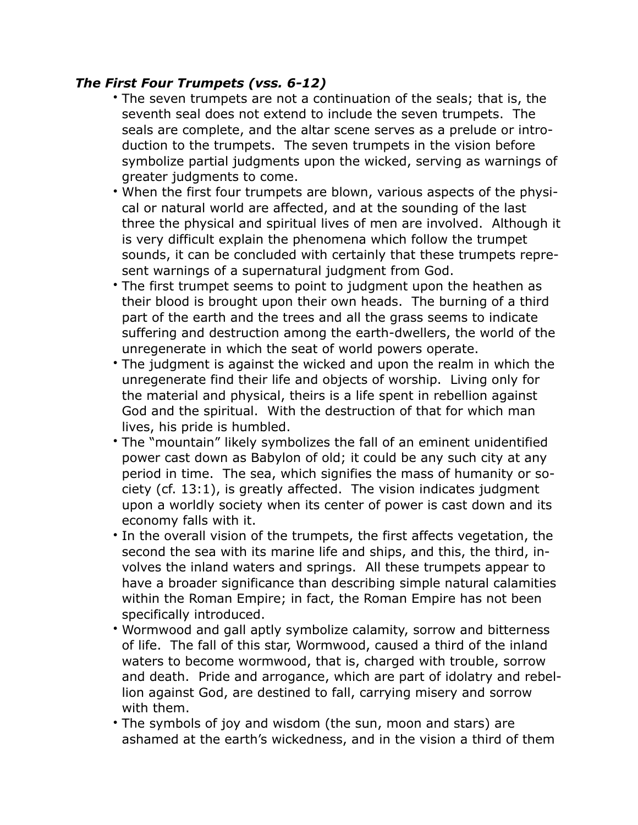## *The First Four Trumpets (vss. 6-12)*

- The seven trumpets are not a continuation of the seals; that is, the seventh seal does not extend to include the seven trumpets. The seals are complete, and the altar scene serves as a prelude or introduction to the trumpets. The seven trumpets in the vision before symbolize partial judgments upon the wicked, serving as warnings of greater judgments to come.
- When the first four trumpets are blown, various aspects of the physical or natural world are affected, and at the sounding of the last three the physical and spiritual lives of men are involved. Although it is very difficult explain the phenomena which follow the trumpet sounds, it can be concluded with certainly that these trumpets represent warnings of a supernatural judgment from God.
- The first trumpet seems to point to judgment upon the heathen as their blood is brought upon their own heads. The burning of a third part of the earth and the trees and all the grass seems to indicate suffering and destruction among the earth-dwellers, the world of the unregenerate in which the seat of world powers operate.
- The judgment is against the wicked and upon the realm in which the unregenerate find their life and objects of worship. Living only for the material and physical, theirs is a life spent in rebellion against God and the spiritual. With the destruction of that for which man lives, his pride is humbled.
- The "mountain" likely symbolizes the fall of an eminent unidentified power cast down as Babylon of old; it could be any such city at any period in time. The sea, which signifies the mass of humanity or society (cf. 13:1), is greatly affected. The vision indicates judgment upon a worldly society when its center of power is cast down and its economy falls with it.
- In the overall vision of the trumpets, the first affects vegetation, the second the sea with its marine life and ships, and this, the third, involves the inland waters and springs. All these trumpets appear to have a broader significance than describing simple natural calamities within the Roman Empire; in fact, the Roman Empire has not been specifically introduced.
- Wormwood and gall aptly symbolize calamity, sorrow and bitterness of life. The fall of this star, Wormwood, caused a third of the inland waters to become wormwood, that is, charged with trouble, sorrow and death. Pride and arrogance, which are part of idolatry and rebellion against God, are destined to fall, carrying misery and sorrow with them.
- The symbols of joy and wisdom (the sun, moon and stars) are ashamed at the earth's wickedness, and in the vision a third of them